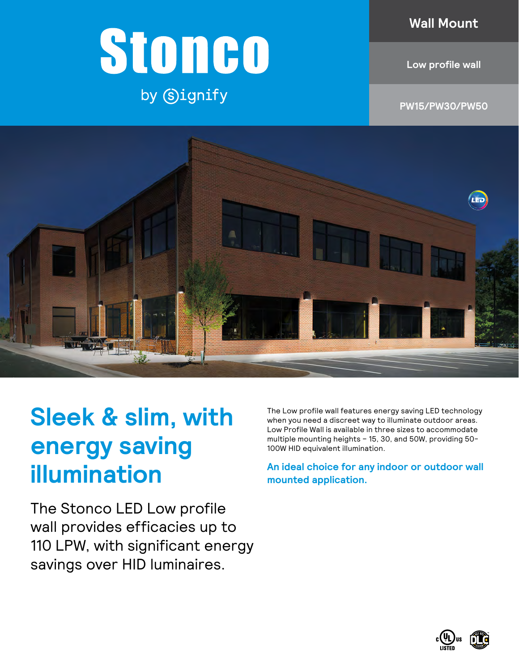### **Wall Mount**

## **Low profile wall**

by Signify

Stoneo

**PW15/PW30/PW50**



# **Sleek & slim, with energy saving illumination**

The Stonco LED Low profile wall provides efficacies up to 110 LPW, with significant energy savings over HID luminaires.

The Low profile wall features energy saving LED technology when you need a discreet way to illuminate outdoor areas. Low Profile Wall is available in three sizes to accommodate multiple mounting heights – 15, 30, and 50W, providing 50- 100W HID equivalent illumination.

**An ideal choice for any indoor or outdoor wall mounted application.**